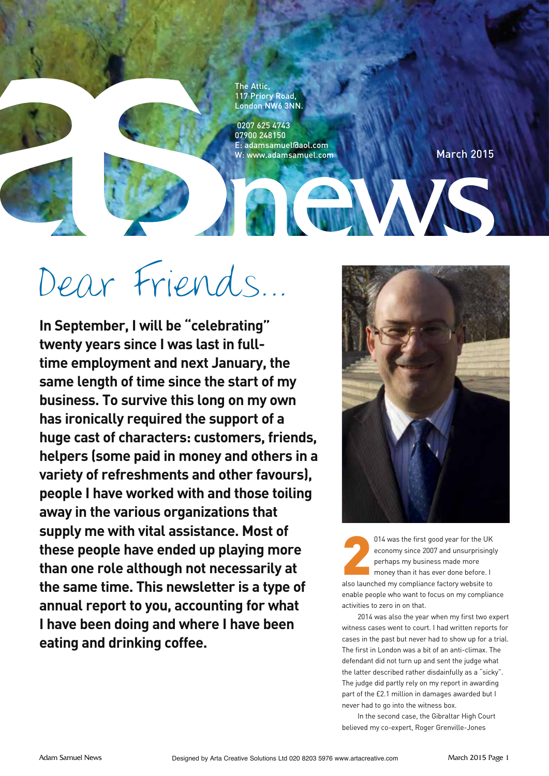The Attic, 117 Priory Road, London NW6 3NN.

 0207 625 4743 07900 248150 E: adamsamuel@aol.com W: www.adamsamuel.com

March 2015

# Dear Friends…

**In September, I will be "celebrating" twenty years since I was last in fulltime employment and next January, the same length of time since the start of my business. To survive this long on my own has ironically required the support of a huge cast of characters: customers, friends, helpers (some paid in money and others in a variety of refreshments and other favours), people I have worked with and those toiling away in the various organizations that supply me with vital assistance. Most of these people have ended up playing more than one role although not necessarily at the same time. This newsletter is a type of annual report to you, accounting for what I have been doing and where I have been eating and drinking coffee.**



**2** 014 was the first good year for the UK economy since 2007 and unsurprisingly perhaps my business made more money than it has ever done before. I also launched my compliance factory website to enable people who want to focus on my compliance activities to zero in on that.

2014 was also the year when my first two expert witness cases went to court. I had written reports for cases in the past but never had to show up for a trial. The first in London was a bit of an anti-climax. The defendant did not turn up and sent the judge what the latter described rather disdainfully as a "sicky". The judge did partly rely on my report in awarding part of the £2.1 million in damages awarded but I never had to go into the witness box.

In the second case, the Gibraltar High Court believed my co-expert, Roger Grenville-Jones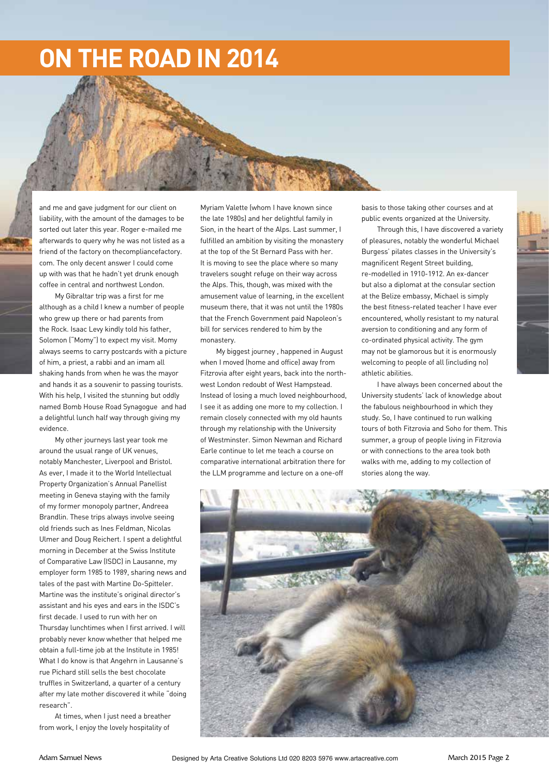## **ON THE ROAD IN 2014**

and me and gave judgment for our client on liability, with the amount of the damages to be sorted out later this year. Roger e-mailed me afterwards to query why he was not listed as a friend of the factory on thecompliancefactory. com. The only decent answer I could come up with was that he hadn't yet drunk enough coffee in central and northwest London.

My Gibraltar trip was a first for me although as a child I knew a number of people who grew up there or had parents from the Rock. Isaac Levy kindly told his father, Solomon ("Momy") to expect my visit. Momy always seems to carry postcards with a picture of him, a priest, a rabbi and an imam all shaking hands from when he was the mayor and hands it as a souvenir to passing tourists. With his help, I visited the stunning but oddly named Bomb House Road Synagogue and had a delightful lunch half way through giving my evidence.

My other journeys last year took me around the usual range of UK venues, notably Manchester, Liverpool and Bristol. As ever, I made it to the World Intellectual Property Organization's Annual Panellist meeting in Geneva staying with the family of my former monopoly partner, Andreea Brandlin. These trips always involve seeing old friends such as Ines Feldman, Nicolas Ulmer and Doug Reichert. I spent a delightful morning in December at the Swiss Institute of Comparative Law (ISDC) in Lausanne, my employer form 1985 to 1989, sharing news and tales of the past with Martine Do-Spitteler. Martine was the institute's original director's assistant and his eyes and ears in the ISDC's first decade. I used to run with her on Thursday lunchtimes when I first arrived. I will probably never know whether that helped me obtain a full-time job at the Institute in 1985! What I do know is that Angehrn in Lausanne's rue Pichard still sells the best chocolate truffles in Switzerland, a quarter of a century after my late mother discovered it while "doing research".

At times, when I just need a breather from work, I enjoy the lovely hospitality of

Myriam Valette (whom I have known since the late 1980s) and her delightful family in Sion, in the heart of the Alps. Last summer, I fulfilled an ambition by visiting the monastery at the top of the St Bernard Pass with her. It is moving to see the place where so many travelers sought refuge on their way across the Alps. This, though, was mixed with the amusement value of learning, in the excellent museum there, that it was not until the 1980s that the French Government paid Napoleon's bill for services rendered to him by the monastery.

My biggest journey , happened in August when I moved (home and office) away from Fitzrovia after eight years, back into the northwest London redoubt of West Hampstead. Instead of losing a much loved neighbourhood, I see it as adding one more to my collection. I remain closely connected with my old haunts through my relationship with the University of Westminster. Simon Newman and Richard Earle continue to let me teach a course on comparative international arbitration there for the LLM programme and lecture on a one-off

basis to those taking other courses and at public events organized at the University.

Through this, I have discovered a variety of pleasures, notably the wonderful Michael Burgess' pilates classes in the University's magnificent Regent Street building, re-modelled in 1910-1912. An ex-dancer but also a diplomat at the consular section at the Belize embassy, Michael is simply the best fitness-related teacher I have ever encountered, wholly resistant to my natural aversion to conditioning and any form of co-ordinated physical activity. The gym may not be glamorous but it is enormously welcoming to people of all (including no) athletic abilities.

I have always been concerned about the University students' lack of knowledge about the fabulous neighbourhood in which they study. So, I have continued to run walking tours of both Fitzrovia and Soho for them. This summer, a group of people living in Fitzrovia or with connections to the area took both walks with me, adding to my collection of stories along the way.

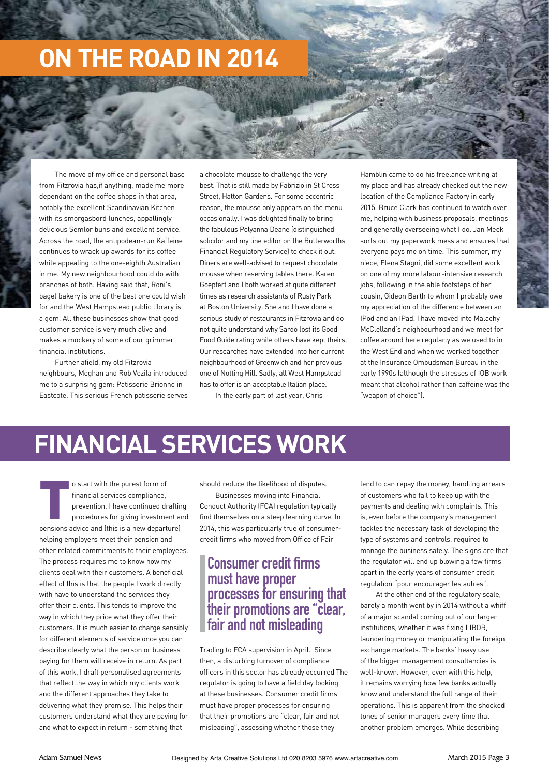# **ON THE ROAD IN 2014**

The move of my office and personal base from Fitzrovia has,if anything, made me more dependant on the coffee shops in that area, notably the excellent Scandinavian Kitchen with its smorgasbord lunches, appallingly delicious Semlor buns and excellent service. Across the road, the antipodean-run Kaffeine continues to wrack up awards for its coffee while appealing to the one-eighth Australian in me. My new neighbourhood could do with branches of both. Having said that, Roni's bagel bakery is one of the best one could wish for and the West Hampstead public library is a gem. All these businesses show that good customer service is very much alive and makes a mockery of some of our grimmer financial institutions.

Further afield, my old Fitzrovia neighbours, Meghan and Rob Vozila introduced me to a surprising gem: Patisserie Brionne in Eastcote. This serious French patisserie serves a chocolate mousse to challenge the very best. That is still made by Fabrizio in St Cross Street, Hatton Gardens. For some eccentric reason, the mousse only appears on the menu occasionally. I was delighted finally to bring the fabulous Polyanna Deane (distinguished solicitor and my line editor on the Butterworths Financial Regulatory Service) to check it out. Diners are well-advised to request chocolate mousse when reserving tables there. Karen Goepfert and I both worked at quite different times as research assistants of Rusty Park at Boston University. She and I have done a serious study of restaurants in Fitzrovia and do not quite understand why Sardo lost its Good Food Guide rating while others have kept theirs. Our researches have extended into her current neighbourhood of Greenwich and her previous one of Notting Hill. Sadly, all West Hampstead has to offer is an acceptable Italian place.

In the early part of last year, Chris

Hamblin came to do his freelance writing at my place and has already checked out the new location of the Compliance Factory in early 2015. Bruce Clark has continued to watch over me, helping with business proposals, meetings and generally overseeing what I do. Jan Meek sorts out my paperwork mess and ensures that everyone pays me on time. This summer, my niece, Elena Stagni, did some excellent work on one of my more labour-intensive research jobs, following in the able footsteps of her cousin, Gideon Barth to whom I probably owe my appreciation of the difference between an IPod and an IPad. I have moved into Malachy McClelland's neighbourhood and we meet for coffee around here regularly as we used to in the West End and when we worked together at the Insurance Ombudsman Bureau in the early 1990s (although the stresses of IOB work meant that alcohol rather than caffeine was the "weapon of choice").

## **FINANCIAL SERVICES WORK**

o start with the purest form of<br>financial services compliance,<br>prevention, I have continued draftin<br>procedures for giving investment are<br>pensions advice and (this is a new departure) o start with the purest form of financial services compliance, prevention, I have continued drafting procedures for giving investment and helping employers meet their pension and other related commitments to their employees. The process requires me to know how my clients deal with their customers. A beneficial effect of this is that the people I work directly with have to understand the services they offer their clients. This tends to improve the way in which they price what they offer their customers. It is much easier to charge sensibly for different elements of service once you can describe clearly what the person or business paying for them will receive in return. As part of this work, I draft personalised agreements that reflect the way in which my clients work and the different approaches they take to delivering what they promise. This helps their customers understand what they are paying for and what to expect in return - something that

should reduce the likelihood of disputes.

Businesses moving into Financial Conduct Authority (FCA) regulation typically find themselves on a steep learning curve. In 2014, this was particularly true of consumercredit firms who moved from Office of Fair

#### **Consumer credit firms must have proper processes for ensuring that their promotions are "clear, fair and not misleading**

Trading to FCA supervision in April. Since then, a disturbing turnover of compliance officers in this sector has already occurred The regulator is going to have a field day looking at these businesses. Consumer credit firms must have proper processes for ensuring that their promotions are "clear, fair and not misleading", assessing whether those they

lend to can repay the money, handling arrears of customers who fail to keep up with the payments and dealing with complaints. This is, even before the company's management tackles the necessary task of developing the type of systems and controls, required to manage the business safely. The signs are that the regulator will end up blowing a few firms apart in the early years of consumer credit regulation "pour encourager les autres".

At the other end of the regulatory scale, barely a month went by in 2014 without a whiff of a major scandal coming out of our larger institutions, whether it was fixing LIBOR, laundering money or manipulating the foreign exchange markets. The banks' heavy use of the bigger management consultancies is well-known. However, even with this help, it remains worrying how few banks actually know and understand the full range of their operations. This is apparent from the shocked tones of senior managers every time that another problem emerges. While describing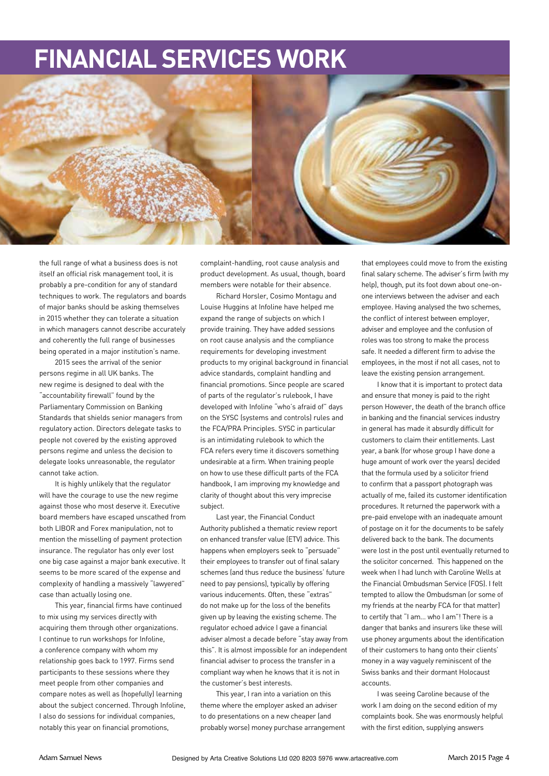## **FINANCIAL SERVICES WORK**



the full range of what a business does is not itself an official risk management tool, it is probably a pre-condition for any of standard techniques to work. The regulators and boards of major banks should be asking themselves in 2015 whether they can tolerate a situation in which managers cannot describe accurately and coherently the full range of businesses being operated in a major institution's name.

2015 sees the arrival of the senior persons regime in all UK banks. The new regime is designed to deal with the "accountability firewall" found by the Parliamentary Commission on Banking Standards that shields senior managers from regulatory action. Directors delegate tasks to people not covered by the existing approved persons regime and unless the decision to delegate looks unreasonable, the regulator cannot take action.

It is highly unlikely that the regulator will have the courage to use the new regime against those who most deserve it. Executive board members have escaped unscathed from both LIBOR and Forex manipulation, not to mention the misselling of payment protection insurance. The regulator has only ever lost one big case against a major bank executive. It seems to be more scared of the expense and complexity of handling a massively "lawyered" case than actually losing one.

This year, financial firms have continued to mix using my services directly with acquiring them through other organizations. I continue to run workshops for Infoline, a conference company with whom my relationship goes back to 1997. Firms send participants to these sessions where they meet people from other companies and compare notes as well as (hopefully) learning about the subject concerned. Through Infoline, I also do sessions for individual companies, notably this year on financial promotions,

complaint-handling, root cause analysis and product development. As usual, though, board members were notable for their absence.

Richard Horsler, Cosimo Montagu and Louise Huggins at Infoline have helped me expand the range of subjects on which I provide training. They have added sessions on root cause analysis and the compliance requirements for developing investment products to my original background in financial advice standards, complaint handling and financial promotions. Since people are scared of parts of the regulator's rulebook, I have developed with Infoline "who's afraid of" days on the SYSC (systems and controls) rules and the FCA/PRA Principles. SYSC in particular is an intimidating rulebook to which the FCA refers every time it discovers something undesirable at a firm. When training people on how to use these difficult parts of the FCA handbook, I am improving my knowledge and clarity of thought about this very imprecise subject.

Last year, the Financial Conduct Authority published a thematic review report on enhanced transfer value (ETV) advice. This happens when employers seek to "persuade" their employees to transfer out of final salary schemes (and thus reduce the business' future need to pay pensions), typically by offering various inducements. Often, these "extras" do not make up for the loss of the benefits given up by leaving the existing scheme. The regulator echoed advice I gave a financial adviser almost a decade before "stay away from this". It is almost impossible for an independent financial adviser to process the transfer in a compliant way when he knows that it is not in the customer's best interests.

This year, I ran into a variation on this theme where the employer asked an adviser to do presentations on a new cheaper (and probably worse) money purchase arrangement that employees could move to from the existing final salary scheme. The adviser's firm (with my help), though, put its foot down about one-onone interviews between the adviser and each employee. Having analysed the two schemes, the conflict of interest between employer, adviser and employee and the confusion of roles was too strong to make the process safe. It needed a different firm to advise the employees, in the most if not all cases, not to leave the existing pension arrangement.

I know that it is important to protect data and ensure that money is paid to the right person However, the death of the branch office in banking and the financial services industry in general has made it absurdly difficult for customers to claim their entitlements. Last year, a bank (for whose group I have done a huge amount of work over the years) decided that the formula used by a solicitor friend to confirm that a passport photograph was actually of me, failed its customer identification procedures. It returned the paperwork with a pre-paid envelope with an inadequate amount of postage on it for the documents to be safely delivered back to the bank. The documents were lost in the post until eventually returned to the solicitor concerned. This happened on the week when I had lunch with Caroline Wells at the Financial Ombudsman Service (FOS). I felt tempted to allow the Ombudsman (or some of my friends at the nearby FCA for that matter) to certify that "I am… who I am"! There is a danger that banks and insurers like these will use phoney arguments about the identification of their customers to hang onto their clients' money in a way vaguely reminiscent of the Swiss banks and their dormant Holocaust accounts.

I was seeing Caroline because of the work I am doing on the second edition of my complaints book. She was enormously helpful with the first edition, supplying answers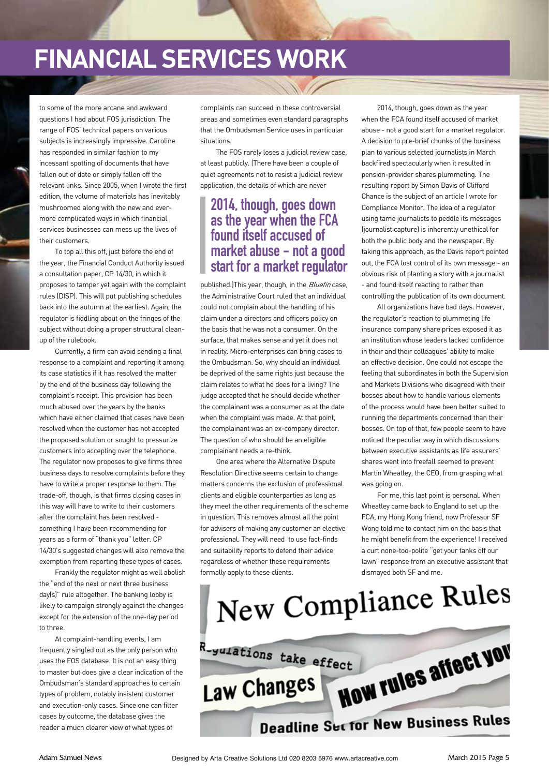## **FINANCIAL SERVICES WORK**

to some of the more arcane and awkward questions I had about FOS jurisdiction. The range of FOS' technical papers on various subjects is increasingly impressive. Caroline has responded in similar fashion to my incessant spotting of documents that have fallen out of date or simply fallen off the relevant links. Since 2005, when I wrote the first edition, the volume of materials has inevitably mushroomed along with the new and evermore complicated ways in which financial services businesses can mess up the lives of their customers.

To top all this off, just before the end of the year, the Financial Conduct Authority issued a consultation paper, CP 14/30, in which it proposes to tamper yet again with the complaint rules (DISP). This will put publishing schedules back into the autumn at the earliest. Again, the regulator is fiddling about on the fringes of the subject without doing a proper structural cleanup of the rulebook.

Currently, a firm can avoid sending a final response to a complaint and reporting it among its case statistics if it has resolved the matter by the end of the business day following the complaint's receipt. This provision has been much abused over the years by the banks which have either claimed that cases have been resolved when the customer has not accepted the proposed solution or sought to pressurize customers into accepting over the telephone. The regulator now proposes to give firms three business days to resolve complaints before they have to write a proper response to them. The trade-off, though, is that firms closing cases in this way will have to write to their customers after the complaint has been resolved something I have been recommending for years as a form of "thank you" letter. CP 14/30's suggested changes will also remove the exemption from reporting these types of cases.

Frankly the regulator might as well abolish the "end of the next or next three business day(s)" rule altogether. The banking lobby is likely to campaign strongly against the changes except for the extension of the one-day period to three.

At complaint-handling events, I am frequently singled out as the only person who uses the FOS database. It is not an easy thing to master but does give a clear indication of the Ombudsman's standard approaches to certain types of problem, notably insistent customer and execution-only cases. Since one can filter cases by outcome, the database gives the reader a much clearer view of what types of

complaints can succeed in these controversial areas and sometimes even standard paragraphs that the Ombudsman Service uses in particular situations.

The FOS rarely loses a judicial review case, at least publicly. (There have been a couple of quiet agreements not to resist a judicial review application, the details of which are never

#### **2014, though, goes down as the year when the FCA found itself accused of market abuse - not a good start for a market regulator**

published.)This year, though, in the *Bluefin* case, the Administrative Court ruled that an individual could not complain about the handling of his claim under a directors and officers policy on the basis that he was not a consumer. On the surface, that makes sense and yet it does not in reality. Micro-enterprises can bring cases to the Ombudsman. So, why should an individual be deprived of the same rights just because the claim relates to what he does for a living? The judge accepted that he should decide whether the complainant was a consumer as at the date when the complaint was made. At that point, the complainant was an ex-company director. The question of who should be an eligible complainant needs a re-think.

One area where the Alternative Dispute Resolution Directive seems certain to change matters concerns the exclusion of professional clients and eligible counterparties as long as they meet the other requirements of the scheme in question. This removes almost all the point for advisers of making any customer an elective professional. They will need to use fact-finds and suitability reports to defend their advice regardless of whether these requirements formally apply to these clients.

2014, though, goes down as the year when the FCA found itself accused of market abuse - not a good start for a market regulator. A decision to pre-brief chunks of the business plan to various selected journalists in March backfired spectacularly when it resulted in pension-provider shares plummeting. The resulting report by Simon Davis of Clifford Chance is the subject of an article I wrote for Compliance Monitor. The idea of a regulator using tame journalists to peddle its messages (journalist capture) is inherently unethical for both the public body and the newspaper. By taking this approach, as the Davis report pointed out, the FCA lost control of its own message - an obvious risk of planting a story with a journalist - and found itself reacting to rather than controlling the publication of its own document.

All organizations have bad days. However, the regulator's reaction to plummeting life insurance company share prices exposed it as an institution whose leaders lacked confidence in their and their colleagues' ability to make an effective decision. One could not escape the feeling that subordinates in both the Supervision and Markets Divisions who disagreed with their bosses about how to handle various elements of the process would have been better suited to running the departments concerned than their bosses. On top of that, few people seem to have noticed the peculiar way in which discussions between executive assistants as life assurers' shares went into freefall seemed to prevent Martin Wheatley, the CEO, from grasping what was going on.

For me, this last point is personal. When Wheatley came back to England to set up the FCA, my Hong Kong friend, now Professor SF Wong told me to contact him on the basis that he might benefit from the experience! I received a curt none-too-polite "get your tanks off our lawn" response from an executive assistant that dismayed both SF and me.

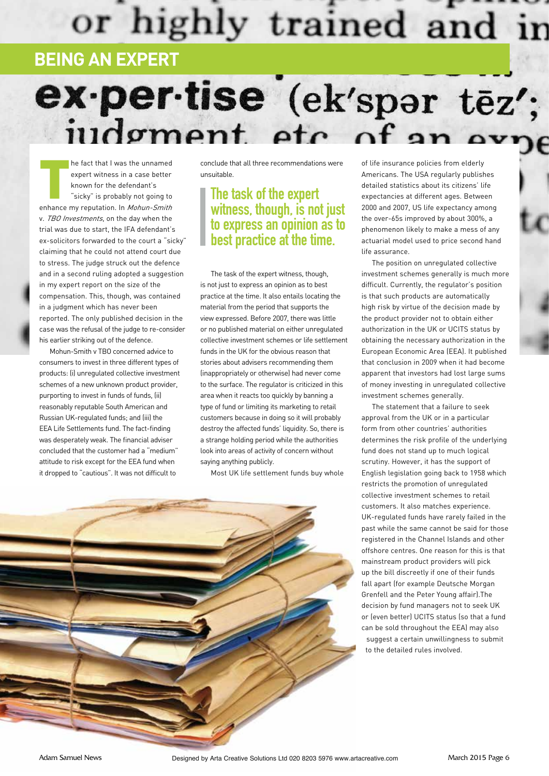# or highly trained and in

## **BEING AN EXPERT**

## ex-per-tise (ek'spar tēz'; judgment etc.  $of an$

he fact that I was the unnamed<br>expert witness in a case better<br>known for the defendant's<br>"sicky" is probably not going to<br>enhance my reputation. In *Mohun-Smith* he fact that I was the unnamed expert witness in a case better known for the defendant's "sicky" is probably not going to v. TBO Investments, on the day when the trial was due to start, the IFA defendant's ex-solicitors forwarded to the court a "sicky" claiming that he could not attend court due to stress. The judge struck out the defence and in a second ruling adopted a suggestion in my expert report on the size of the compensation. This, though, was contained in a judgment which has never been reported. The only published decision in the case was the refusal of the judge to re-consider his earlier striking out of the defence.

Mohun-Smith v TBO concerned advice to consumers to invest in three different types of products: (i) unregulated collective investment schemes of a new unknown product provider, purporting to invest in funds of funds, (ii) reasonably reputable South American and Russian UK-regulated funds; and (iii) the EEA Life Settlements fund. The fact-finding was desperately weak. The financial adviser concluded that the customer had a "medium" attitude to risk except for the EEA fund when it dropped to "cautious". It was not difficult to

conclude that all three recommendations were unsuitable.

### **The task of the expert witness, though, is not just to express an opinion as to best practice at the time.**

The task of the expert witness, though, is not just to express an opinion as to best practice at the time. It also entails locating the material from the period that supports the view expressed. Before 2007, there was little or no published material on either unregulated collective investment schemes or life settlement funds in the UK for the obvious reason that stories about advisers recommending them (inappropriately or otherwise) had never come to the surface. The regulator is criticized in this area when it reacts too quickly by banning a type of fund or limiting its marketing to retail customers because in doing so it will probably destroy the affected funds' liquidity. So, there is a strange holding period while the authorities look into areas of activity of concern without saying anything publicly.

Most UK life settlement funds buy whole



of life insurance policies from elderly Americans. The USA regularly publishes detailed statistics about its citizens' life expectancies at different ages. Between 2000 and 2007, US life expectancy among the over-65s improved by about 300%, a phenomenon likely to make a mess of any actuarial model used to price second hand life assurance.

The position on unregulated collective investment schemes generally is much more difficult. Currently, the regulator's position is that such products are automatically high risk by virtue of the decision made by the product provider not to obtain either authorization in the UK or UCITS status by obtaining the necessary authorization in the European Economic Area (EEA). It published that conclusion in 2009 when it had become apparent that investors had lost large sums of money investing in unregulated collective investment schemes generally.

The statement that a failure to seek approval from the UK or in a particular form from other countries' authorities determines the risk profile of the underlying fund does not stand up to much logical scrutiny. However, it has the support of English legislation going back to 1958 which restricts the promotion of unregulated collective investment schemes to retail customers. It also matches experience. UK-regulated funds have rarely failed in the past while the same cannot be said for those registered in the Channel Islands and other offshore centres. One reason for this is that mainstream product providers will pick up the bill discreetly if one of their funds fall apart (for example Deutsche Morgan Grenfell and the Peter Young affair).The decision by fund managers not to seek UK or (even better) UCITS status (so that a fund can be sold throughout the EEA) may also suggest a certain unwillingness to submit to the detailed rules involved.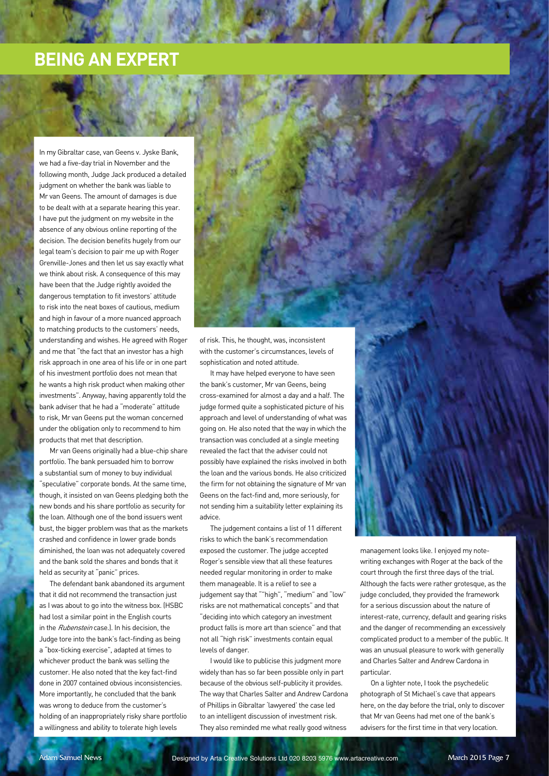### **BEING AN EXPERT**

In my Gibraltar case, van Geens v. Jyske Bank, we had a five-day trial in November and the following month, Judge Jack produced a detailed judgment on whether the bank was liable to Mr van Geens. The amount of damages is due to be dealt with at a separate hearing this year. I have put the judgment on my website in the absence of any obvious online reporting of the decision. The decision benefits hugely from our legal team's decision to pair me up with Roger Grenville-Jones and then let us say exactly what we think about risk. A consequence of this may have been that the Judge rightly avoided the dangerous temptation to fit investors' attitude to risk into the neat boxes of cautious, medium and high in favour of a more nuanced approach to matching products to the customers' needs, understanding and wishes. He agreed with Roger and me that "the fact that an investor has a high risk approach in one area of his life or in one part of his investment portfolio does not mean that he wants a high risk product when making other investments". Anyway, having apparently told the bank adviser that he had a "moderate" attitude to risk, Mr van Geens put the woman concerned under the obligation only to recommend to him products that met that description.

Mr van Geens originally had a blue-chip share portfolio. The bank persuaded him to borrow a substantial sum of money to buy individual "speculative" corporate bonds. At the same time, though, it insisted on van Geens pledging both the new bonds and his share portfolio as security for the loan. Although one of the bond issuers went bust, the bigger problem was that as the markets crashed and confidence in lower grade bonds diminished, the loan was not adequately covered and the bank sold the shares and bonds that it held as security at "panic" prices.

The defendant bank abandoned its argument that it did not recommend the transaction just as I was about to go into the witness box. (HSBC had lost a similar point in the English courts in the Rubenstein case.). In his decision, the Judge tore into the bank's fact-finding as being a "box-ticking exercise", adapted at times to whichever product the bank was selling the customer. He also noted that the key fact-find done in 2007 contained obvious inconsistencies. More importantly, he concluded that the bank was wrong to deduce from the customer's holding of an inappropriately risky share portfolio a willingness and ability to tolerate high levels

of risk. This, he thought, was, inconsistent with the customer's circumstances, levels of sophistication and noted attitude.

It may have helped everyone to have seen the bank's customer, Mr van Geens, being cross-examined for almost a day and a half. The judge formed quite a sophisticated picture of his approach and level of understanding of what was going on. He also noted that the way in which the transaction was concluded at a single meeting revealed the fact that the adviser could not possibly have explained the risks involved in both the loan and the various bonds. He also criticized the firm for not obtaining the signature of Mr van Geens on the fact-find and, more seriously, for not sending him a suitability letter explaining its advice.

The judgement contains a list of 11 different risks to which the bank's recommendation exposed the customer. The judge accepted Roger's sensible view that all these features needed regular monitoring in order to make them manageable. It is a relief to see a judgement say that ""high", "medium" and "low" risks are not mathematical concepts" and that "deciding into which category an investment product falls is more art than science" and that not all "high risk" investments contain equal levels of danger.

I would like to publicise this judgment more widely than has so far been possible only in part because of the obvious self-publicity it provides. The way that Charles Salter and Andrew Cardona of Phillips in Gibraltar 'lawyered' the case led to an intelligent discussion of investment risk. They also reminded me what really good witness

management looks like. I enjoyed my notewriting exchanges with Roger at the back of the court through the first three days of the trial. Although the facts were rather grotesque, as the judge concluded, they provided the framework for a serious discussion about the nature of interest-rate, currency, default and gearing risks and the danger of recommending an excessively complicated product to a member of the public. It was an unusual pleasure to work with generally and Charles Salter and Andrew Cardona in particular.

On a lighter note, I took the psychedelic photograph of St Michael's cave that appears here, on the day before the trial, only to discover that Mr van Geens had met one of the bank's advisers for the first time in that very location.

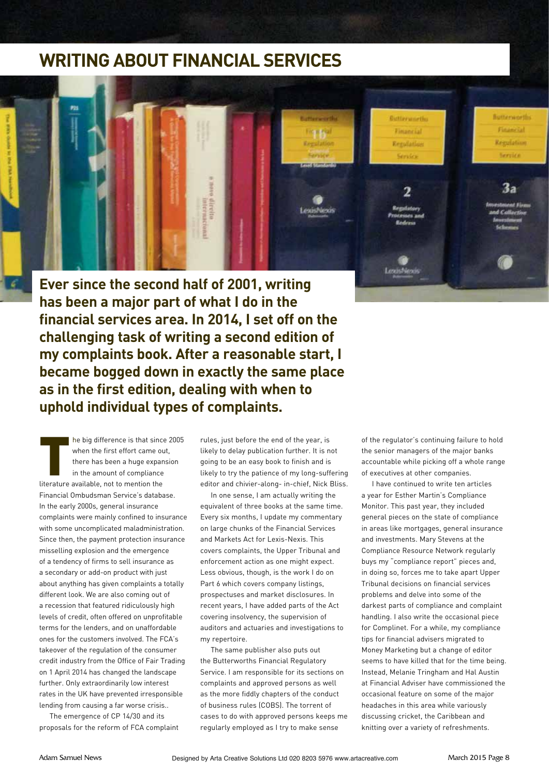### **WRITING ABOUT FINANCIAL SERVICES**



**Ever since the second half of 2001, writing has been a major part of what I do in the financial services area. In 2014, I set off on the challenging task of writing a second edition of my complaints book. After a reasonable start, I became bogged down in exactly the same place as in the first edition, dealing with when to uphold individual types of complaints.** 

he big difference is that since 2005 when the first effort came out there has been a huge expansion in the amount of compliance literature available, not to mention the Financial Ombudsman Service's database. In the early 2000s, general insurance complaints were mainly confined to insurance with some uncomplicated maladministration. Since then, the payment protection insurance misselling explosion and the emergence of a tendency of firms to sell insurance as a secondary or add-on product with just about anything has given complaints a totally different look. We are also coming out of a recession that featured ridiculously high levels of credit, often offered on unprofitable terms for the lenders, and on unaffordable ones for the customers involved. The FCA's takeover of the regulation of the consumer credit industry from the Office of Fair Trading on 1 April 2014 has changed the landscape further. Only extraordinarily low interest rates in the UK have prevented irresponsible lending from causing a far worse crisis..

The emergence of CP 14/30 and its proposals for the reform of FCA complaint

rules, just before the end of the year, is likely to delay publication further. It is not going to be an easy book to finish and is likely to try the patience of my long-suffering editor and chivier-along- in-chief, Nick Bliss.

In one sense, I am actually writing the equivalent of three books at the same time. Every six months, I update my commentary on large chunks of the Financial Services and Markets Act for Lexis-Nexis. This covers complaints, the Upper Tribunal and enforcement action as one might expect. Less obvious, though, is the work I do on Part 6 which covers company listings, prospectuses and market disclosures. In recent years, I have added parts of the Act covering insolvency, the supervision of auditors and actuaries and investigations to my repertoire.

The same publisher also puts out the Butterworths Financial Regulatory Service. I am responsible for its sections on complaints and approved persons as well as the more fiddly chapters of the conduct of business rules (COBS). The torrent of cases to do with approved persons keeps me regularly employed as I try to make sense

of the regulator's continuing failure to hold the senior managers of the major banks accountable while picking off a whole range of executives at other companies.

I have continued to write ten articles a year for Esther Martin's Compliance Monitor. This past year, they included general pieces on the state of compliance in areas like mortgages, general insurance and investments. Mary Stevens at the Compliance Resource Network regularly buys my "compliance report" pieces and, in doing so, forces me to take apart Upper Tribunal decisions on financial services problems and delve into some of the darkest parts of compliance and complaint handling. I also write the occasional piece for Complinet. For a while, my compliance tips for financial advisers migrated to Money Marketing but a change of editor seems to have killed that for the time being. Instead, Melanie Tringham and Hal Austin at Financial Adviser have commissioned the occasional feature on some of the major headaches in this area while variously discussing cricket, the Caribbean and knitting over a variety of refreshments.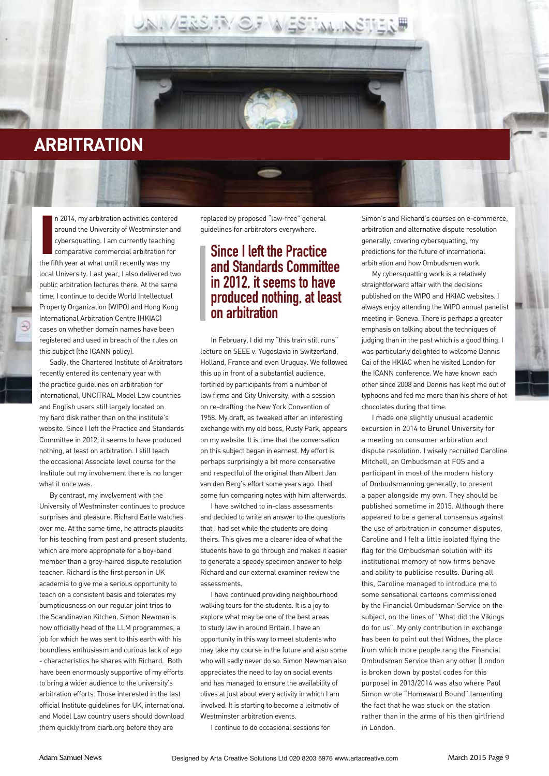

I n 2014, my arbitration activities centered around the University of Westminster and cybersquatting. I am currently teaching comparative commercial arbitration for the fifth year at what until recently was my local University. Last year, I also delivered two public arbitration lectures there. At the same time, I continue to decide World Intellectual Property Organization (WIPO) and Hong Kong International Arbitration Centre (HKIAC) cases on whether domain names have been registered and used in breach of the rules on this subject (the ICANN policy).

Sadly, the Chartered Institute of Arbitrators recently entered its centenary year with the practice guidelines on arbitration for international, UNCITRAL Model Law countries and English users still largely located on my hard disk rather than on the institute's website. Since I left the Practice and Standards Committee in 2012, it seems to have produced nothing, at least on arbitration. I still teach the occasional Associate level course for the Institute but my involvement there is no longer what it once was.

By contrast, my involvement with the University of Westminster continues to produce surprises and pleasure. Richard Earle watches over me. At the same time, he attracts plaudits for his teaching from past and present students, which are more appropriate for a boy-band member than a grey-haired dispute resolution teacher. Richard is the first person in UK academia to give me a serious opportunity to teach on a consistent basis and tolerates my bumptiousness on our regular joint trips to the Scandinavian Kitchen. Simon Newman is now officially head of the LLM programmes, a job for which he was sent to this earth with his boundless enthusiasm and curious lack of ego - characteristics he shares with Richard. Both have been enormously supportive of my efforts to bring a wider audience to the university's arbitration efforts. Those interested in the last official Institute guidelines for UK, international and Model Law country users should download them quickly from ciarb.org before they are

replaced by proposed "law-free" general guidelines for arbitrators everywhere.

UNI / BRS. IR / O.F. WESTINNING TEN #

#### **Since I left the Practice and Standards Committee in 2012, it seems to have produced nothing, at least on arbitration**

In February, I did my "this train still runs" lecture on SEEE v. Yugoslavia in Switzerland, Holland, France and even Uruguay. We followed this up in front of a substantial audience, fortified by participants from a number of law firms and City University, with a session on re-drafting the New York Convention of 1958. My draft, as tweaked after an interesting exchange with my old boss, Rusty Park, appears on my website. It is time that the conversation on this subject began in earnest. My effort is perhaps surprisingly a bit more conservative and respectful of the original than Albert Jan van den Berg's effort some years ago. I had some fun comparing notes with him afterwards.

I have switched to in-class assessments and decided to write an answer to the questions that I had set while the students are doing theirs. This gives me a clearer idea of what the students have to go through and makes it easier to generate a speedy specimen answer to help Richard and our external examiner review the assessments.

I have continued providing neighbourhood walking tours for the students. It is a joy to explore what may be one of the best areas to study law in around Britain. I have an opportunity in this way to meet students who may take my course in the future and also some who will sadly never do so. Simon Newman also appreciates the need to lay on social events and has managed to ensure the availability of olives at just about every activity in which I am involved. It is starting to become a leitmotiv of Westminster arbitration events.

I continue to do occasional sessions for

Simon's and Richard's courses on e-commerce, arbitration and alternative dispute resolution generally, covering cybersquatting, my predictions for the future of international arbitration and how Ombudsmen work.

My cybersquatting work is a relatively straightforward affair with the decisions published on the WIPO and HKIAC websites. I always enjoy attending the WIPO annual panelist meeting in Geneva. There is perhaps a greater emphasis on talking about the techniques of judging than in the past which is a good thing. I was particularly delighted to welcome Dennis Cai of the HKIAC when he visited London for the ICANN conference. We have known each other since 2008 and Dennis has kept me out of typhoons and fed me more than his share of hot chocolates during that time.

I made one slightly unusual academic excursion in 2014 to Brunel University for a meeting on consumer arbitration and dispute resolution. I wisely recruited Caroline Mitchell, an Ombudsman at FOS and a participant in most of the modern history of Ombudsmanning generally, to present a paper alongside my own. They should be published sometime in 2015. Although there appeared to be a general consensus against the use of arbitration in consumer disputes, Caroline and I felt a little isolated flying the flag for the Ombudsman solution with its institutional memory of how firms behave and ability to publicise results. During all this, Caroline managed to introduce me to some sensational cartoons commissioned by the Financial Ombudsman Service on the subject, on the lines of "What did the Vikings do for us". My only contribution in exchange has been to point out that Widnes, the place from which more people rang the Financial Ombudsman Service than any other (London is broken down by postal codes for this purpose) in 2013/2014 was also where Paul Simon wrote "Homeward Bound" lamenting the fact that he was stuck on the station rather than in the arms of his then girlfriend in London.